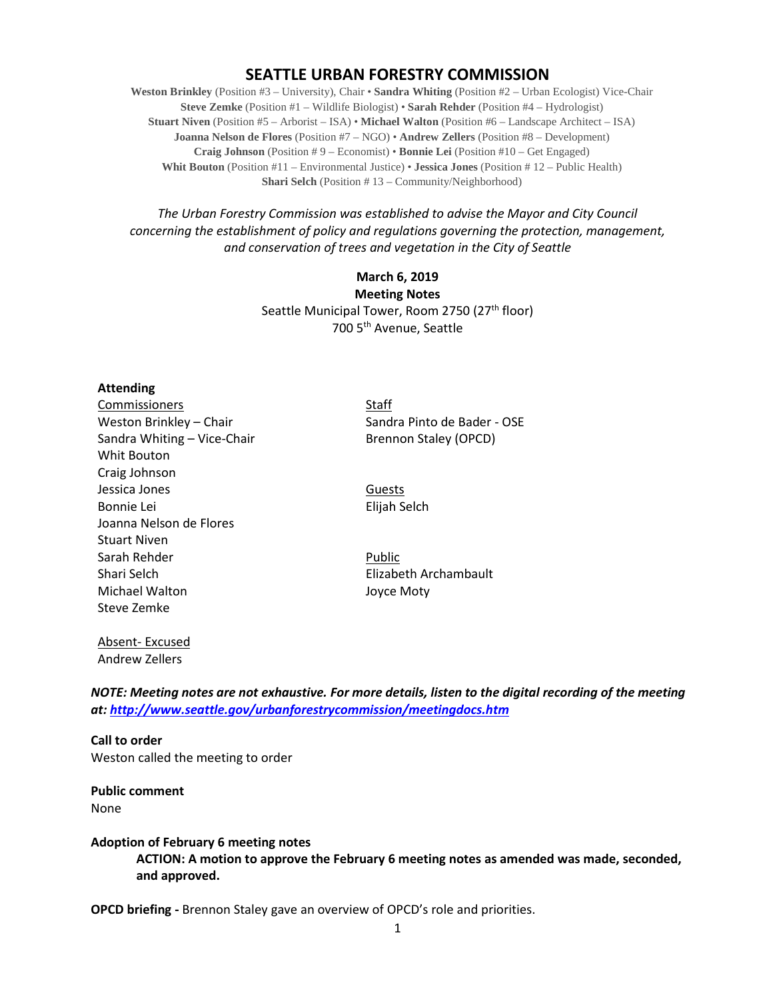# **SEATTLE URBAN FORESTRY COMMISSION**

**Weston Brinkley** (Position #3 – University), Chair • **Sandra Whiting** (Position #2 – Urban Ecologist) Vice-Chair **Steve Zemke** (Position #1 – Wildlife Biologist) • **Sarah Rehder** (Position #4 – Hydrologist) **Stuart Niven** (Position #5 – Arborist – ISA) • **Michael Walton** (Position #6 – Landscape Architect – ISA) **Joanna Nelson de Flores** (Position #7 – NGO) • **Andrew Zellers** (Position #8 – Development) **Craig Johnson** (Position # 9 – Economist) • **Bonnie Lei** (Position #10 – Get Engaged) **Whit Bouton** (Position #11 – Environmental Justice) • **Jessica Jones** (Position # 12 – Public Health) **Shari Selch** (Position #13 – Community/Neighborhood)

*The Urban Forestry Commission was established to advise the Mayor and City Council concerning the establishment of policy and regulations governing the protection, management, and conservation of trees and vegetation in the City of Seattle*

> **March 6, 2019 Meeting Notes** Seattle Municipal Tower, Room 2750 (27<sup>th</sup> floor) 700 5th Avenue, Seattle

#### **Attending**

Commissioners Staff Sandra Whiting – Vice-Chair Brennon Staley (OPCD) Whit Bouton Craig Johnson Jessica Jones **Guests** Bonnie Lei **Elijah Selch** Joanna Nelson de Flores Stuart Niven Sarah Rehder Public Shari Selch **Elizabeth Archambault** Michael Walton **Joyce Moty** Steve Zemke

Weston Brinkley – Chair Sandra Pinto de Bader - OSE

Absent- Excused Andrew Zellers

*NOTE: Meeting notes are not exhaustive. For more details, listen to the digital recording of the meeting at:<http://www.seattle.gov/urbanforestrycommission/meetingdocs.htm>*

**Call to order**  Weston called the meeting to order

**Public comment** None

#### **Adoption of February 6 meeting notes**

**ACTION: A motion to approve the February 6 meeting notes as amended was made, seconded, and approved.**

**OPCD briefing -** Brennon Staley gave an overview of OPCD's role and priorities.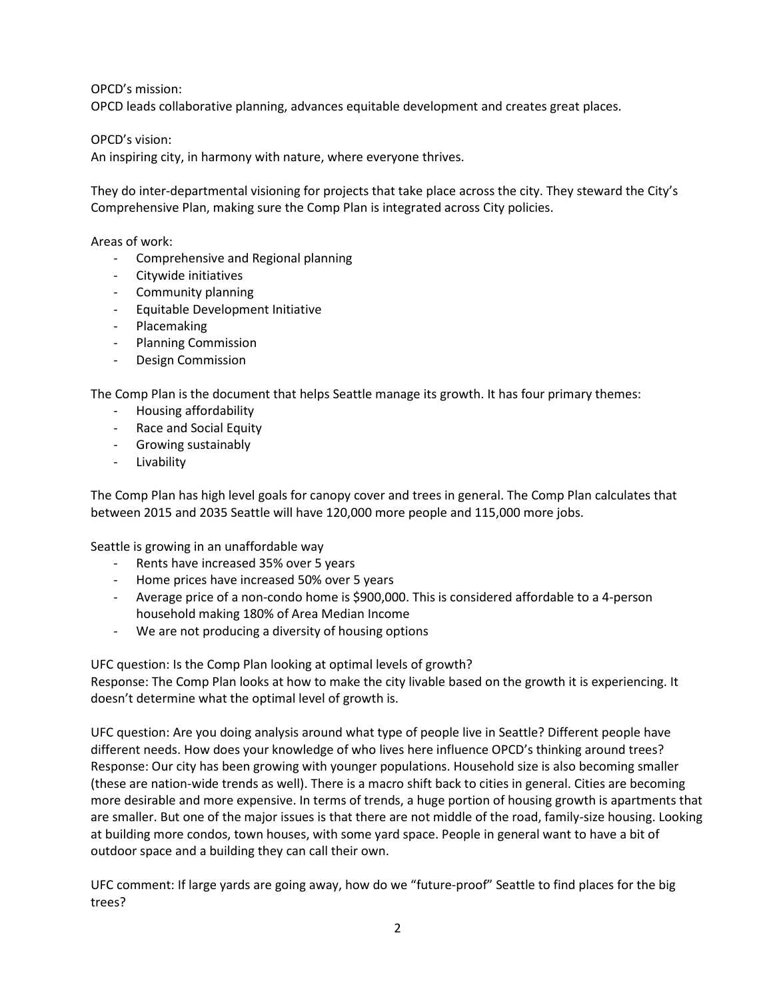OPCD's mission:

OPCD leads collaborative planning, advances equitable development and creates great places.

OPCD's vision:

An inspiring city, in harmony with nature, where everyone thrives.

They do inter-departmental visioning for projects that take place across the city. They steward the City's Comprehensive Plan, making sure the Comp Plan is integrated across City policies.

Areas of work:

- Comprehensive and Regional planning
- Citywide initiatives
- Community planning
- Equitable Development Initiative
- Placemaking
- Planning Commission
- Design Commission

The Comp Plan is the document that helps Seattle manage its growth. It has four primary themes:

- Housing affordability
- Race and Social Equity
- Growing sustainably
- Livability

The Comp Plan has high level goals for canopy cover and trees in general. The Comp Plan calculates that between 2015 and 2035 Seattle will have 120,000 more people and 115,000 more jobs.

Seattle is growing in an unaffordable way

- Rents have increased 35% over 5 years
- Home prices have increased 50% over 5 years
- Average price of a non-condo home is \$900,000. This is considered affordable to a 4-person household making 180% of Area Median Income
- We are not producing a diversity of housing options

UFC question: Is the Comp Plan looking at optimal levels of growth?

Response: The Comp Plan looks at how to make the city livable based on the growth it is experiencing. It doesn't determine what the optimal level of growth is.

UFC question: Are you doing analysis around what type of people live in Seattle? Different people have different needs. How does your knowledge of who lives here influence OPCD's thinking around trees? Response: Our city has been growing with younger populations. Household size is also becoming smaller (these are nation-wide trends as well). There is a macro shift back to cities in general. Cities are becoming more desirable and more expensive. In terms of trends, a huge portion of housing growth is apartments that are smaller. But one of the major issues is that there are not middle of the road, family-size housing. Looking at building more condos, town houses, with some yard space. People in general want to have a bit of outdoor space and a building they can call their own.

UFC comment: If large yards are going away, how do we "future-proof" Seattle to find places for the big trees?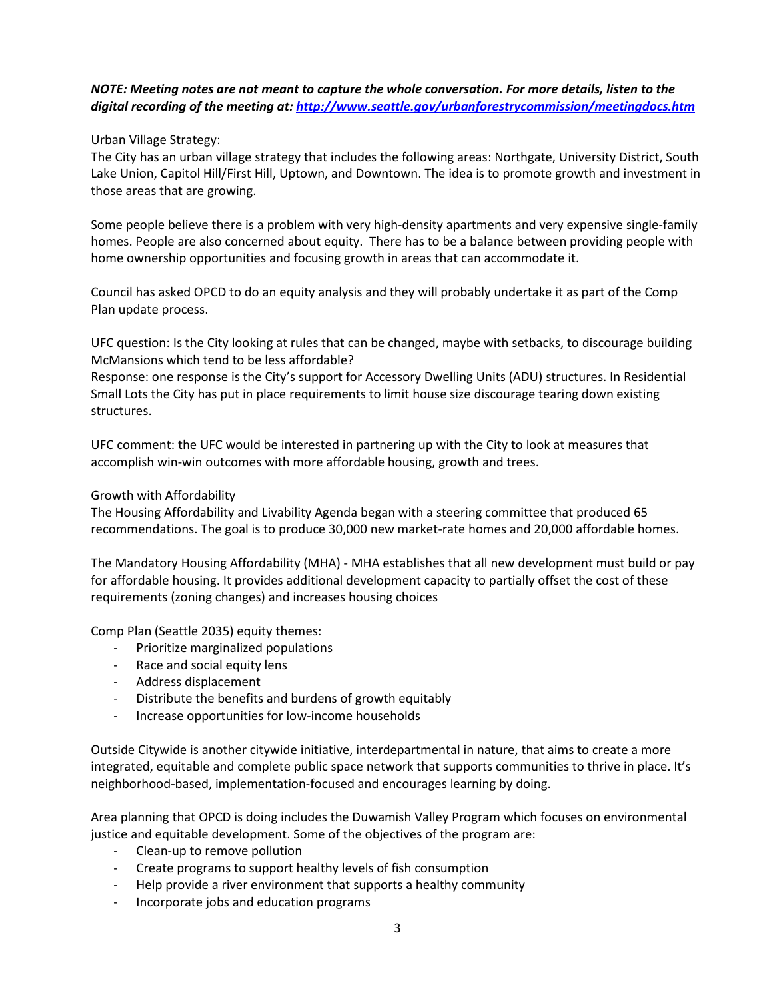# *NOTE: Meeting notes are not meant to capture the whole conversation. For more details, listen to the digital recording of the meeting at[: http://www.seattle.gov/urbanforestrycommission/meetingdocs.htm](http://www.seattle.gov/urbanforestrycommission/meetingdocs.htm)*

Urban Village Strategy:

The City has an urban village strategy that includes the following areas: Northgate, University District, South Lake Union, Capitol Hill/First Hill, Uptown, and Downtown. The idea is to promote growth and investment in those areas that are growing.

Some people believe there is a problem with very high-density apartments and very expensive single-family homes. People are also concerned about equity. There has to be a balance between providing people with home ownership opportunities and focusing growth in areas that can accommodate it.

Council has asked OPCD to do an equity analysis and they will probably undertake it as part of the Comp Plan update process.

UFC question: Is the City looking at rules that can be changed, maybe with setbacks, to discourage building McMansions which tend to be less affordable?

Response: one response is the City's support for Accessory Dwelling Units (ADU) structures. In Residential Small Lots the City has put in place requirements to limit house size discourage tearing down existing structures.

UFC comment: the UFC would be interested in partnering up with the City to look at measures that accomplish win-win outcomes with more affordable housing, growth and trees.

# Growth with Affordability

The Housing Affordability and Livability Agenda began with a steering committee that produced 65 recommendations. The goal is to produce 30,000 new market-rate homes and 20,000 affordable homes.

The Mandatory Housing Affordability (MHA) - MHA establishes that all new development must build or pay for affordable housing. It provides additional development capacity to partially offset the cost of these requirements (zoning changes) and increases housing choices

Comp Plan (Seattle 2035) equity themes:

- Prioritize marginalized populations
- Race and social equity lens
- Address displacement
- Distribute the benefits and burdens of growth equitably
- Increase opportunities for low-income households

Outside Citywide is another citywide initiative, interdepartmental in nature, that aims to create a more integrated, equitable and complete public space network that supports communities to thrive in place. It's neighborhood-based, implementation-focused and encourages learning by doing.

Area planning that OPCD is doing includes the Duwamish Valley Program which focuses on environmental justice and equitable development. Some of the objectives of the program are:

- Clean-up to remove pollution
- Create programs to support healthy levels of fish consumption
- Help provide a river environment that supports a healthy community
- Incorporate jobs and education programs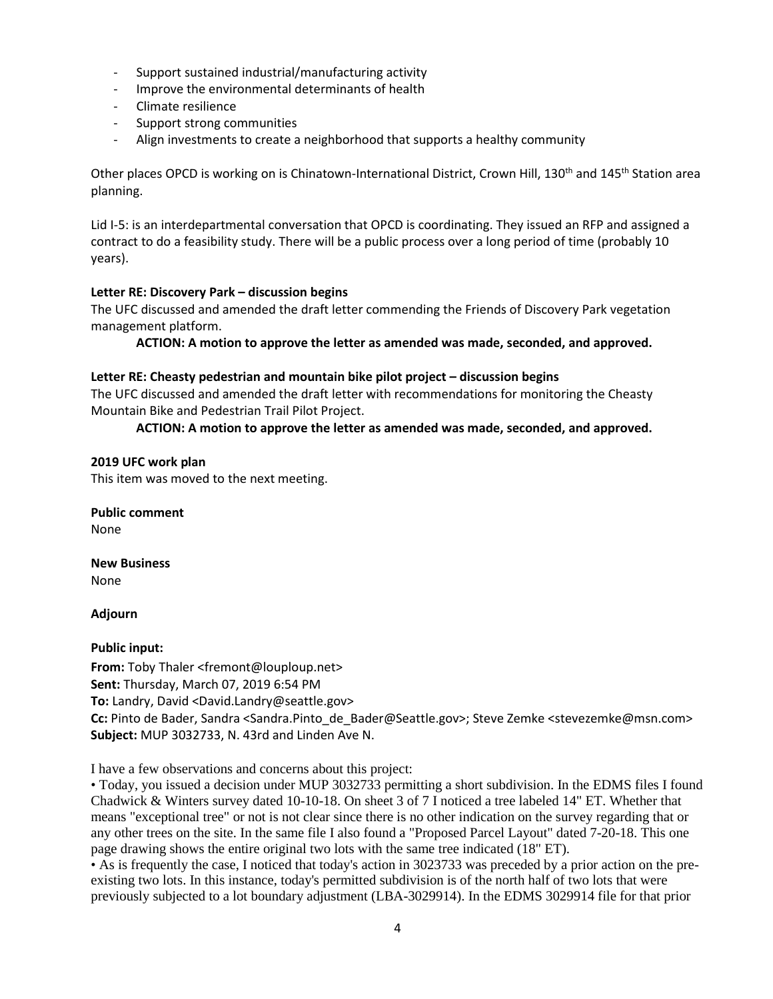- Support sustained industrial/manufacturing activity
- Improve the environmental determinants of health
- Climate resilience
- Support strong communities
- Align investments to create a neighborhood that supports a healthy community

Other places OPCD is working on is Chinatown-International District, Crown Hill, 130<sup>th</sup> and 145<sup>th</sup> Station area planning.

Lid I-5: is an interdepartmental conversation that OPCD is coordinating. They issued an RFP and assigned a contract to do a feasibility study. There will be a public process over a long period of time (probably 10 years).

## **Letter RE: Discovery Park – discussion begins**

The UFC discussed and amended the draft letter commending the Friends of Discovery Park vegetation management platform.

**ACTION: A motion to approve the letter as amended was made, seconded, and approved.**

## **Letter RE: Cheasty pedestrian and mountain bike pilot project – discussion begins**

The UFC discussed and amended the draft letter with recommendations for monitoring the Cheasty Mountain Bike and Pedestrian Trail Pilot Project.

## **ACTION: A motion to approve the letter as amended was made, seconded, and approved.**

**2019 UFC work plan** This item was moved to the next meeting.

**Public comment** None

**New Business** None

## **Adjourn**

## **Public input:**

**From:** Toby Thaler <fremont@louploup.net> **Sent:** Thursday, March 07, 2019 6:54 PM **To:** Landry, David <David.Landry@seattle.gov> Cc: Pinto de Bader, Sandra <Sandra.Pinto de Bader@Seattle.gov>; Steve Zemke <stevezemke@msn.com> **Subject:** MUP 3032733, N. 43rd and Linden Ave N.

I have a few observations and concerns about this project:

• Today, you issued a decision under MUP 3032733 permitting a short subdivision. In the EDMS files I found Chadwick & Winters survey dated 10-10-18. On sheet 3 of 7 I noticed a tree labeled 14" ET. Whether that means "exceptional tree" or not is not clear since there is no other indication on the survey regarding that or any other trees on the site. In the same file I also found a "Proposed Parcel Layout" dated 7-20-18. This one page drawing shows the entire original two lots with the same tree indicated (18" ET).

• As is frequently the case, I noticed that today's action in 3023733 was preceded by a prior action on the preexisting two lots. In this instance, today's permitted subdivision is of the north half of two lots that were previously subjected to a lot boundary adjustment (LBA-3029914). In the EDMS 3029914 file for that prior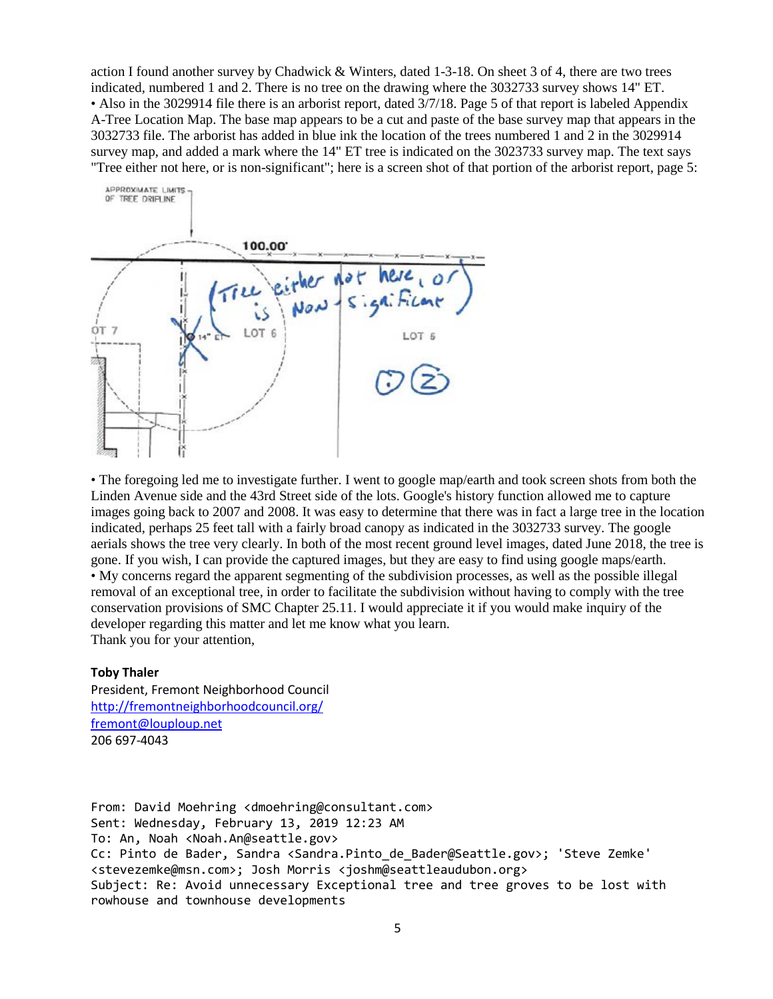action I found another survey by Chadwick & Winters, dated 1-3-18. On sheet 3 of 4, there are two trees indicated, numbered 1 and 2. There is no tree on the drawing where the 3032733 survey shows 14" ET. • Also in the 3029914 file there is an arborist report, dated 3/7/18. Page 5 of that report is labeled Appendix A-Tree Location Map. The base map appears to be a cut and paste of the base survey map that appears in the 3032733 file. The arborist has added in blue ink the location of the trees numbered 1 and 2 in the 3029914 survey map, and added a mark where the 14" ET tree is indicated on the 3023733 survey map. The text says "Tree either not here, or is non-significant"; here is a screen shot of that portion of the arborist report, page 5:



• The foregoing led me to investigate further. I went to google map/earth and took screen shots from both the Linden Avenue side and the 43rd Street side of the lots. Google's history function allowed me to capture images going back to 2007 and 2008. It was easy to determine that there was in fact a large tree in the location indicated, perhaps 25 feet tall with a fairly broad canopy as indicated in the 3032733 survey. The google aerials shows the tree very clearly. In both of the most recent ground level images, dated June 2018, the tree is gone. If you wish, I can provide the captured images, but they are easy to find using google maps/earth. • My concerns regard the apparent segmenting of the subdivision processes, as well as the possible illegal removal of an exceptional tree, in order to facilitate the subdivision without having to comply with the tree conservation provisions of SMC Chapter 25.11. I would appreciate it if you would make inquiry of the developer regarding this matter and let me know what you learn. Thank you for your attention,

### **Toby Thaler**

President, Fremont Neighborhood Council <http://fremontneighborhoodcouncil.org/> [fremont@louploup.net](mailto:fremont@louploup.net) 206 697-4043

From: David Moehring <dmoehring@consultant.com> Sent: Wednesday, February 13, 2019 12:23 AM To: An, Noah <Noah.An@seattle.gov> Cc: Pinto de Bader, Sandra <Sandra.Pinto\_de\_Bader@Seattle.gov>; 'Steve Zemke' <stevezemke@msn.com>; Josh Morris <joshm@seattleaudubon.org> Subject: Re: Avoid unnecessary Exceptional tree and tree groves to be lost with rowhouse and townhouse developments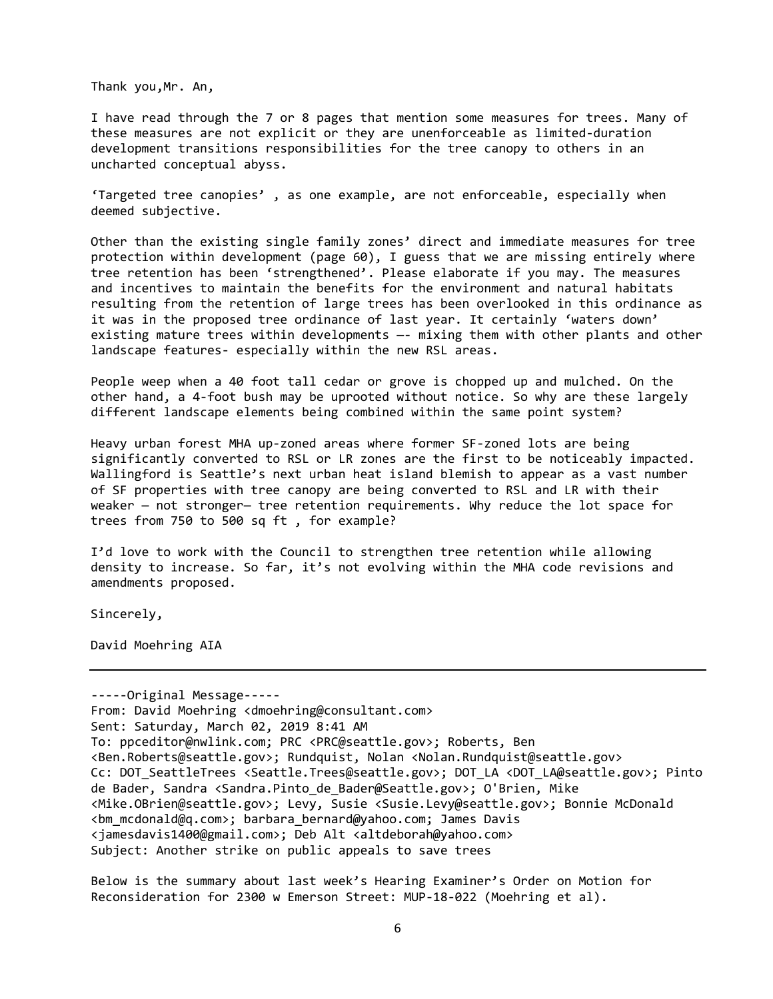Thank you,Mr. An,

I have read through the 7 or 8 pages that mention some measures for trees. Many of these measures are not explicit or they are unenforceable as limited-duration development transitions responsibilities for the tree canopy to others in an uncharted conceptual abyss.

'Targeted tree canopies' , as one example, are not enforceable, especially when deemed subjective.

Other than the existing single family zones' direct and immediate measures for tree protection within development (page 60), I guess that we are missing entirely where tree retention has been 'strengthened'. Please elaborate if you may. The measures and incentives to maintain the benefits for the environment and natural habitats resulting from the retention of large trees has been overlooked in this ordinance as it was in the proposed tree ordinance of last year. It certainly 'waters down' existing mature trees within developments —- mixing them with other plants and other landscape features- especially within the new RSL areas.

People weep when a 40 foot tall cedar or grove is chopped up and mulched. On the other hand, a 4-foot bush may be uprooted without notice. So why are these largely different landscape elements being combined within the same point system?

Heavy urban forest MHA up-zoned areas where former SF-zoned lots are being significantly converted to RSL or LR zones are the first to be noticeably impacted. Wallingford is Seattle's next urban heat island blemish to appear as a vast number of SF properties with tree canopy are being converted to RSL and LR with their weaker — not stronger— tree retention requirements. Why reduce the lot space for trees from 750 to 500 sq ft , for example?

I'd love to work with the Council to strengthen tree retention while allowing density to increase. So far, it's not evolving within the MHA code revisions and amendments proposed.

Sincerely,

David Moehring AIA

-----Original Message----- From: David Moehring <dmoehring@consultant.com> Sent: Saturday, March 02, 2019 8:41 AM To: ppceditor@nwlink.com; PRC <PRC@seattle.gov>; Roberts, Ben <Ben.Roberts@seattle.gov>; Rundquist, Nolan <Nolan.Rundquist@seattle.gov> Cc: DOT\_SeattleTrees <Seattle.Trees@seattle.gov>; DOT\_LA <DOT\_LA@seattle.gov>; Pinto de Bader, Sandra <Sandra.Pinto\_de\_Bader@Seattle.gov>; O'Brien, Mike <Mike.OBrien@seattle.gov>; Levy, Susie <Susie.Levy@seattle.gov>; Bonnie McDonald <bm\_mcdonald@q.com>; barbara\_bernard@yahoo.com; James Davis <jamesdavis1400@gmail.com>; Deb Alt <altdeborah@yahoo.com> Subject: Another strike on public appeals to save trees

Below is the summary about last week's Hearing Examiner's Order on Motion for Reconsideration for 2300 w Emerson Street: MUP-18-022 (Moehring et al).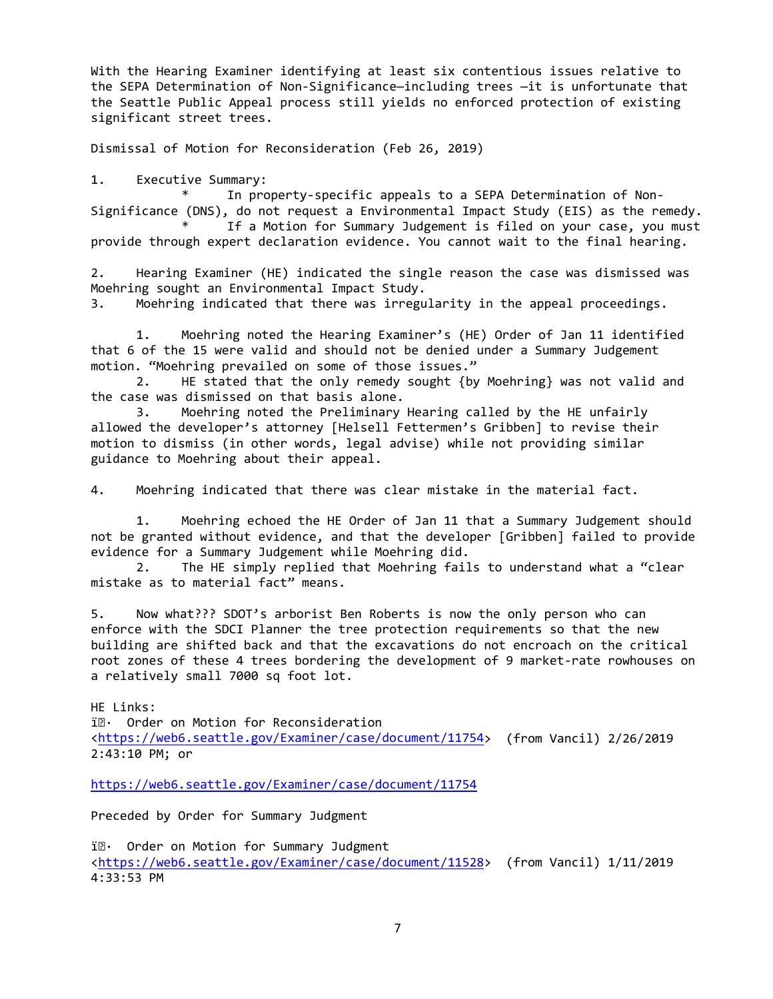With the Hearing Examiner identifying at least six contentious issues relative to the SEPA Determination of Non-Significance—including trees —it is unfortunate that the Seattle Public Appeal process still yields no enforced protection of existing significant street trees.

Dismissal of Motion for Reconsideration (Feb 26, 2019)

1. Executive Summary:

In property-specific appeals to a SEPA Determination of Non-Significance (DNS), do not request a Environmental Impact Study (EIS) as the remedy. If a Motion for Summary Judgement is filed on your case, you must

provide through expert declaration evidence. You cannot wait to the final hearing.

2. Hearing Examiner (HE) indicated the single reason the case was dismissed was Moehring sought an Environmental Impact Study.

3. Moehring indicated that there was irregularity in the appeal proceedings.

1. Moehring noted the Hearing Examiner's (HE) Order of Jan 11 identified that 6 of the 15 were valid and should not be denied under a Summary Judgement motion. "Moehring prevailed on some of those issues."

2. HE stated that the only remedy sought {by Moehring} was not valid and the case was dismissed on that basis alone.

3. Moehring noted the Preliminary Hearing called by the HE unfairly allowed the developer's attorney [Helsell Fettermen's Gribben] to revise their motion to dismiss (in other words, legal advise) while not providing similar guidance to Moehring about their appeal.

4. Moehring indicated that there was clear mistake in the material fact.

1. Moehring echoed the HE Order of Jan 11 that a Summary Judgement should not be granted without evidence, and that the developer [Gribben] failed to provide evidence for a Summary Judgement while Moehring did.

2. The HE simply replied that Moehring fails to understand what a "clear mistake as to material fact" means.

5. Now what??? SDOT's arborist Ben Roberts is now the only person who can enforce with the SDCI Planner the tree protection requirements so that the new building are shifted back and that the excavations do not encroach on the critical root zones of these 4 trees bordering the development of 9 market-rate rowhouses on a relatively small 7000 sq foot lot.

HE Links:

i $\mathbb{R}$  Order on Motion for Reconsideration [<https://web6.seattle.gov/Examiner/case/document/11754>](https://web6.seattle.gov/Examiner/case/document/11754) (from Vancil) 2/26/2019 2:43:10 PM; or

<https://web6.seattle.gov/Examiner/case/document/11754>

Preceded by Order for Summary Judgment

i $\mathbb{R}\cdot$  Order on Motion for Summary Judgment [<https://web6.seattle.gov/Examiner/case/document/11528>](https://web6.seattle.gov/Examiner/case/document/11528) (from Vancil) 1/11/2019 4:33:53 PM